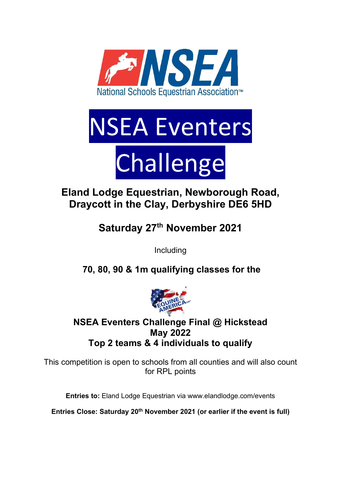

# NSEA Eventers Challenge

# Eland Lodge Equestrian, Newborough Road, Draycott in the Clay, Derbyshire DE6 5HD

Saturday 27<sup>th</sup> November 2021

Including

70, 80, 90 & 1m qualifying classes for the



## NSEA Eventers Challenge Final @ Hickstead May 2022 Top 2 teams & 4 individuals to qualify

This competition is open to schools from all counties and will also count for RPL points

Entries to: Eland Lodge Equestrian via www.elandlodge.com/events

Entries Close: Saturday 20th November 2021 (or earlier if the event is full)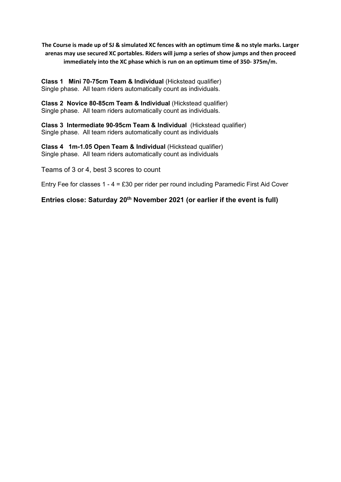The Course is made up of SJ & simulated XC fences with an optimum time & no style marks. Larger arenas may use secured XC portables. Riders will jump a series of show jumps and then proceed immediately into the XC phase which is run on an optimum time of 350- 375m/m.

Class 1 Mini 70-75cm Team & Individual (Hickstead qualifier) Single phase. All team riders automatically count as individuals.

Class 2 Novice 80-85cm Team & Individual (Hickstead qualifier) Single phase. All team riders automatically count as individuals.

Class 3 Intermediate 90-95cm Team & Individual (Hickstead qualifier) Single phase. All team riders automatically count as individuals

Class 4 1m-1.05 Open Team & Individual (Hickstead qualifier) Single phase. All team riders automatically count as individuals

Teams of 3 or 4, best 3 scores to count

Entry Fee for classes 1 - 4 = £30 per rider per round including Paramedic First Aid Cover

Entries close: Saturday 20th November 2021 (or earlier if the event is full)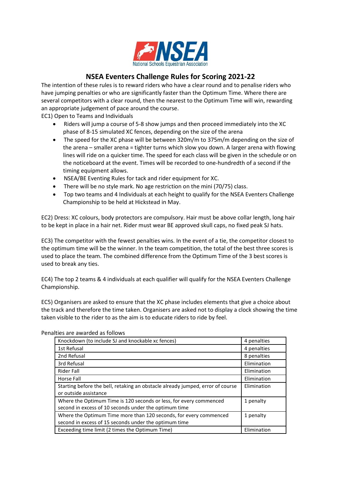

#### NSEA Eventers Challenge Rules for Scoring 2021-22

The intention of these rules is to reward riders who have a clear round and to penalise riders who have jumping penalties or who are significantly faster than the Optimum Time. Where there are several competitors with a clear round, then the nearest to the Optimum Time will win, rewarding an appropriate judgement of pace around the course.

EC1) Open to Teams and Individuals

- Riders will jump a course of 5-8 show jumps and then proceed immediately into the XC phase of 8-15 simulated XC fences, depending on the size of the arena
- The speed for the XC phase will be between 320m/m to 375m/m depending on the size of the arena – smaller arena = tighter turns which slow you down. A larger arena with flowing lines will ride on a quicker time. The speed for each class will be given in the schedule or on the noticeboard at the event. Times will be recorded to one-hundredth of a second if the timing equipment allows.
- NSEA/BE Eventing Rules for tack and rider equipment for XC.
- There will be no style mark. No age restriction on the mini (70/75) class.
- Top two teams and 4 Individuals at each height to qualify for the NSEA Eventers Challenge Championship to be held at Hickstead in May.

EC2) Dress: XC colours, body protectors are compulsory. Hair must be above collar length, long hair to be kept in place in a hair net. Rider must wear BE approved skull caps, no fixed peak SJ hats.

EC3) The competitor with the fewest penalties wins. In the event of a tie, the competitor closest to the optimum time will be the winner. In the team competition, the total of the best three scores is used to place the team. The combined difference from the Optimum Time of the 3 best scores is used to break any ties.

EC4) The top 2 teams & 4 individuals at each qualifier will qualify for the NSEA Eventers Challenge Championship.

EC5) Organisers are asked to ensure that the XC phase includes elements that give a choice about the track and therefore the time taken. Organisers are asked not to display a clock showing the time taken visible to the rider to as the aim is to educate riders to ride by feel.

| Knockdown (to include SJ and knockable xc fences)                                                                           | 4 penalties |
|-----------------------------------------------------------------------------------------------------------------------------|-------------|
| 1st Refusal                                                                                                                 | 4 penalties |
| 2nd Refusal                                                                                                                 | 8 penalties |
| 3rd Refusal                                                                                                                 | Elimination |
| Rider Fall                                                                                                                  | Elimination |
| Horse Fall                                                                                                                  | Elimination |
| Starting before the bell, retaking an obstacle already jumped, error of course<br>or outside assistance                     | Elimination |
| Where the Optimum Time is 120 seconds or less, for every commenced<br>second in excess of 10 seconds under the optimum time | 1 penalty   |
| Where the Optimum Time more than 120 seconds, for every commenced<br>second in excess of 15 seconds under the optimum time  | 1 penalty   |
| Exceeding time limit (2 times the Optimum Time)                                                                             | Elimination |

Penalties are awarded as follows